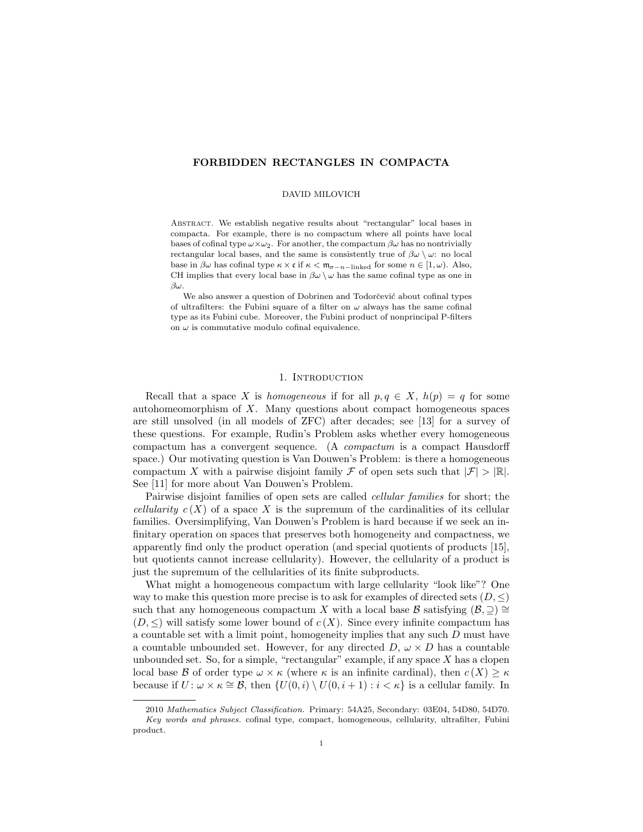# FORBIDDEN RECTANGLES IN COMPACTA

## DAVID MILOVICH

Abstract. We establish negative results about "rectangular" local bases in compacta. For example, there is no compactum where all points have local bases of cofinal type  $\omega \times \omega_2$ . For another, the compactum  $\beta \omega$  has no nontrivially rectangular local bases, and the same is consistently true of  $\beta\omega \setminus \omega$ : no local base in  $\beta\omega$  has cofinal type  $\kappa \times \mathfrak{c}$  if  $\kappa < \mathfrak{m}_{\sigma-n-\text{linked}}$  for some  $n \in [1, \omega)$ . Also, CH implies that every local base in  $\beta\omega \setminus \omega$  has the same cofinal type as one in βω.

We also answer a question of Dobrinen and Todorčević about cofinal types of ultrafilters: the Fubini square of a filter on  $\omega$  always has the same cofinal type as its Fubini cube. Moreover, the Fubini product of nonprincipal P-filters on  $\omega$  is commutative modulo cofinal equivalence.

# 1. INTRODUCTION

Recall that a space X is homogeneous if for all  $p, q \in X$ ,  $h(p) = q$  for some autohomeomorphism of X. Many questions about compact homogeneous spaces are still unsolved (in all models of ZFC) after decades; see [13] for a survey of these questions. For example, Rudin's Problem asks whether every homogeneous compactum has a convergent sequence. (A compactum is a compact Hausdorff space.) Our motivating question is Van Douwen's Problem: is there a homogeneous compactum X with a pairwise disjoint family F of open sets such that  $|\mathcal{F}| > |\mathbb{R}|$ . See [11] for more about Van Douwen's Problem.

Pairwise disjoint families of open sets are called *cellular families* for short; the *cellularity*  $c(X)$  of a space X is the supremum of the cardinalities of its cellular families. Oversimplifying, Van Douwen's Problem is hard because if we seek an infinitary operation on spaces that preserves both homogeneity and compactness, we apparently find only the product operation (and special quotients of products [15], but quotients cannot increase cellularity). However, the cellularity of a product is just the supremum of the cellularities of its finite subproducts.

What might a homogeneous compactum with large cellularity "look like"? One way to make this question more precise is to ask for examples of directed sets  $(D, \leq)$ such that any homogeneous compactum X with a local base B satisfying  $(\mathcal{B}, \supset) \cong$  $(D, \leq)$  will satisfy some lower bound of  $c(X)$ . Since every infinite compactum has a countable set with a limit point, homogeneity implies that any such D must have a countable unbounded set. However, for any directed  $D, \omega \times D$  has a countable unbounded set. So, for a simple, "rectangular" example, if any space  $X$  has a clopen local base B of order type  $\omega \times \kappa$  (where  $\kappa$  is an infinite cardinal), then  $c(X) \geq \kappa$ because if  $U: \omega \times \kappa \cong \mathcal{B}$ , then  $\{U(0, i) \setminus U(0, i + 1) : i < \kappa\}$  is a cellular family. In

<sup>2010</sup> Mathematics Subject Classification. Primary: 54A25, Secondary: 03E04, 54D80, 54D70. Key words and phrases. cofinal type, compact, homogeneous, cellularity, ultrafilter, Fubini product.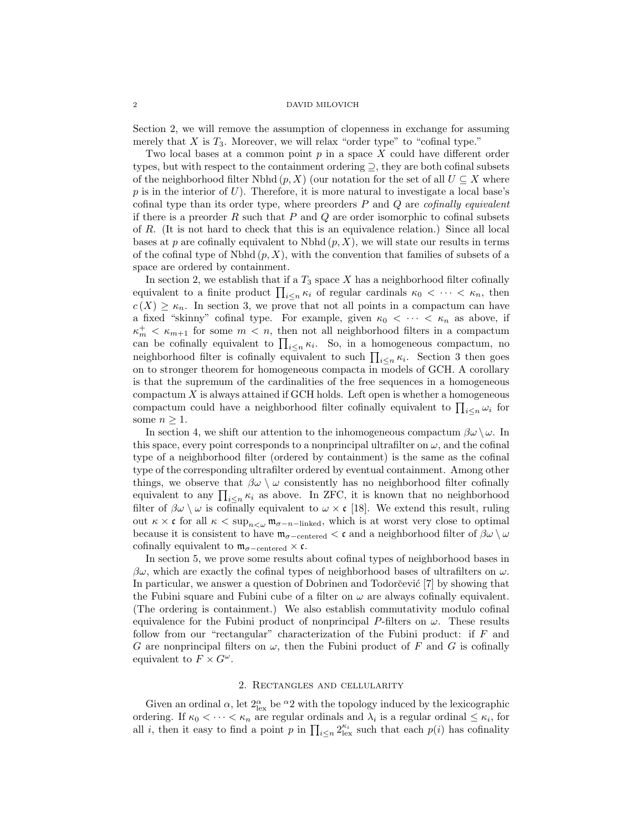Section 2, we will remove the assumption of clopenness in exchange for assuming merely that  $X$  is  $T_3$ . Moreover, we will relax "order type" to "cofinal type."

Two local bases at a common point  $p$  in a space  $X$  could have different order types, but with respect to the containment ordering ⊇, they are both cofinal subsets of the neighborhood filter Nbhd  $(p, X)$  (our notation for the set of all  $U \subseteq X$  where  $p$  is in the interior of U). Therefore, it is more natural to investigate a local base's cofinal type than its order type, where preorders  $P$  and  $Q$  are *cofinally equivalent* if there is a preorder  $R$  such that  $P$  and  $Q$  are order isomorphic to cofinal subsets of R. (It is not hard to check that this is an equivalence relation.) Since all local bases at p are cofinally equivalent to Nbhd  $(p, X)$ , we will state our results in terms of the cofinal type of Nbhd  $(p, X)$ , with the convention that families of subsets of a space are ordered by containment.

In section 2, we establish that if a  $T_3$  space X has a neighborhood filter cofinally equivalent to a finite product  $\prod_{i\leq n} \kappa_i$  of regular cardinals  $\kappa_0 < \cdots < \kappa_n$ , then  $c(X) \geq \kappa_n$ . In section 3, we prove that not all points in a compactum can have a fixed "skinny" cofinal type. For example, given  $\kappa_0 < \cdots < \kappa_n$  as above, if  $\kappa_m^+ < \kappa_{m+1}$  for some  $m < n$ , then not all neighborhood filters in a compactum can be cofinally equivalent to  $\prod_{i \leq n} \kappa_i$ . So, in a homogeneous compactum, no neighborhood filter is cofinally equivalent to such  $\prod_{i\leq n} \kappa_i$ . Section 3 then goes on to stronger theorem for homogeneous compacta in models of GCH. A corollary is that the supremum of the cardinalities of the free sequences in a homogeneous compactum  $X$  is always attained if GCH holds. Left open is whether a homogeneous compactum could have a neighborhood filter cofinally equivalent to  $\prod_{i\leq n}\omega_i$  for some  $n \geq 1$ .

In section 4, we shift our attention to the inhomogeneous compactum  $\beta\omega \setminus \omega$ . In this space, every point corresponds to a nonprincipal ultrafilter on  $\omega$ , and the cofinal type of a neighborhood filter (ordered by containment) is the same as the cofinal type of the corresponding ultrafilter ordered by eventual containment. Among other things, we observe that  $\beta\omega \setminus \omega$  consistently has no neighborhood filter cofinally equivalent to any  $\prod_{i \leq n} \kappa_i$  as above. In ZFC, it is known that no neighborhood filter of  $\beta\omega \setminus \omega$  is cofinally equivalent to  $\omega \times c$  [18]. We extend this result, ruling out  $\kappa \times \mathfrak{c}$  for all  $\kappa < \sup_{n \leq \omega} \mathfrak{m}_{\sigma-n-\text{linked}}$ , which is at worst very close to optimal because it is consistent to have  $m_{\sigma-\text{centered}} < c$  and a neighborhood filter of  $\beta\omega \setminus \omega$ cofinally equivalent to  $m_{\sigma-\text{centered}} \times \mathfrak{c}$ .

In section 5, we prove some results about cofinal types of neighborhood bases in  $\beta\omega$ , which are exactly the cofinal types of neighborhood bases of ultrafilters on  $\omega$ . In particular, we answer a question of Dobrinen and Todorčević [7] by showing that the Fubini square and Fubini cube of a filter on  $\omega$  are always cofinally equivalent. (The ordering is containment.) We also establish commutativity modulo cofinal equivalence for the Fubini product of nonprincipal P-filters on  $\omega$ . These results follow from our "rectangular" characterization of the Fubini product: if F and G are nonprincipal filters on  $\omega$ , then the Fubini product of F and G is cofinally equivalent to  $F \times G^{\omega}$ .

## 2. Rectangles and cellularity

Given an ordinal  $\alpha$ , let  $2^{\alpha}_{\text{lex}}$  be  $^{\alpha}2$  with the topology induced by the lexicographic ordering. If  $\kappa_0 < \cdots < \kappa_n$  are regular ordinals and  $\lambda_i$  is a regular ordinal  $\leq \kappa_i$ , for all *i*, then it easy to find a point p in  $\prod_{i \leq n} 2_{\text{lex}}^{\kappa_i}$  such that each  $p(i)$  has cofinality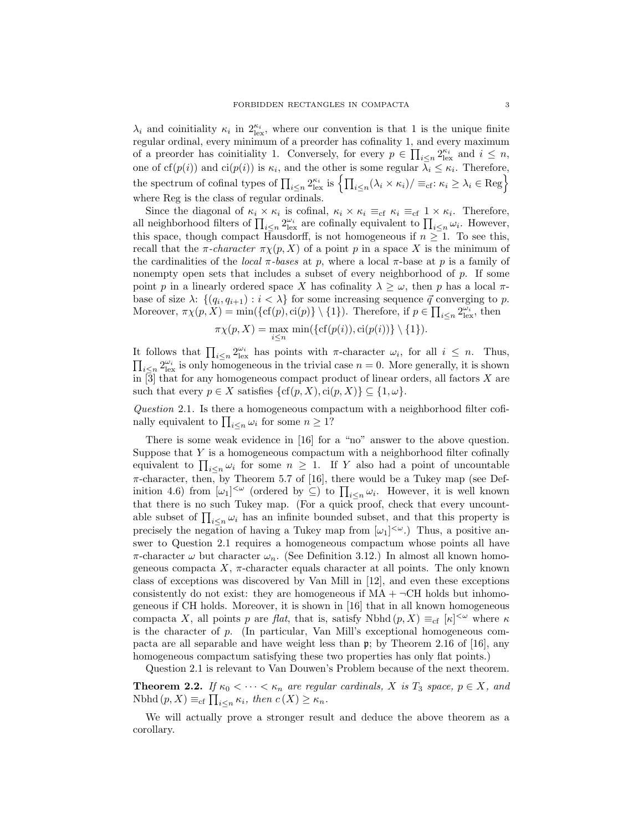$\lambda_i$  and coinitiality  $\kappa_i$  in  $2_{\text{lex}}^{\kappa_i}$ , where our convention is that 1 is the unique finite regular ordinal, every minimum of a preorder has cofinality 1, and every maximum of a preorder has coinitiality 1. Conversely, for every  $p \in \prod_{i \leq n} 2_{\text{lex}}^{\kappa_i}$  and  $i \leq n$ , one of  $cf(p(i))$  and  $ci(p(i))$  is  $\kappa_i$ , and the other is some regular  $\lambda_i \leq \kappa_i$ . Therefore, the spectrum of cofinal types of  $\prod_{i \leq n} 2_{\text{lex}}^{\kappa_i}$  is  $\left\{ \prod_{i \leq n} (\lambda_i \times \kappa_i) / \equiv_{\text{cf}}: \kappa_i \geq \lambda_i \in \text{Reg} \right\}$ where Reg is the class of regular ordinals.

Since the diagonal of  $\kappa_i \times \kappa_i$  is cofinal,  $\kappa_i \times \kappa_i \equiv_{cf} \kappa_i \equiv_{cf} 1 \times \kappa_i$ . Therefore, all neighborhood filters of  $\prod_{i\leq n} 2^{\omega_i}_{\text{lex}}$  are cofinally equivalent to  $\prod_{i\leq n} \omega_i$ . However, this space, though compact Hausdorff, is not homogeneous if  $n \geq 1$ . To see this, recall that the  $\pi$ -character  $\pi \chi(p, X)$  of a point p in a space X is the minimum of the cardinalities of the *local*  $\pi$ -bases at p, where a local  $\pi$ -base at p is a family of nonempty open sets that includes a subset of every neighborhood of p. If some point p in a linearly ordered space X has cofinality  $\lambda \geq \omega$ , then p has a local  $\pi$ base of size  $\lambda$ :  $\{(q_i, q_{i+1}) : i < \lambda\}$  for some increasing sequence  $\vec{q}$  converging to p. Moreover,  $\pi \chi(p, X) = \min(\{\text{cf}(p), \text{ci}(p)\} \setminus \{1\})$ . Therefore, if  $p \in \prod_{i \leq n} 2^{\omega_i}_{\text{lex}}$ , then

$$
\pi \chi(p, X) = \max_{i \leq n} \min(\{\text{cf}(p(i)), \text{ci}(p(i))\} \setminus \{1\}).
$$

It follows that  $\prod_{i\leq n} 2_{\text{lex}}^{\omega_i}$  has points with  $\pi$ -character  $\omega_i$ , for all  $i\leq n$ . Thus,  $\prod_{i\leq n} 2_{\text{lex}}^{\omega_i}$  is only homogeneous in the trivial case  $n=0$ . More generally, it is shown in [3] that for any homogeneous compact product of linear orders, all factors X are such that every  $p \in X$  satisfies  $\{cf(p, X), ci(p, X)\} \subseteq \{1, \omega\}.$ 

Question 2.1. Is there a homogeneous compactum with a neighborhood filter cofinally equivalent to  $\prod_{i \leq n} \omega_i$  for some  $n \geq 1$ ?

There is some weak evidence in [16] for a "no" answer to the above question. Suppose that  $Y$  is a homogeneous compactum with a neighborhood filter cofinally equivalent to  $\prod_{i\leq n}\omega_i$  for some  $n\geq 1$ . If Y also had a point of uncountable  $\pi$ -character, then, by Theorem 5.7 of [16], there would be a Tukey map (see Definition 4.6) from  $[\omega_1]^{<\omega}$  (ordered by  $\subseteq$ ) to  $\prod_{i\leq n}\omega_i$ . However, it is well known that there is no such Tukey map. (For a quick proof, check that every uncountable subset of  $\prod_{i \leq n} \omega_i$  has an infinite bounded subset, and that this property is precisely the negation of having a Tukey map from  $[\omega_1]^{<\omega}$ . Thus, a positive answer to Question 2.1 requires a homogeneous compactum whose points all have  $\pi$ -character  $\omega$  but character  $\omega_n$ . (See Definition 3.12.) In almost all known homogeneous compacta  $X$ ,  $\pi$ -character equals character at all points. The only known class of exceptions was discovered by Van Mill in [12], and even these exceptions consistently do not exist: they are homogeneous if  $MA + \neg CH$  holds but inhomogeneous if CH holds. Moreover, it is shown in [16] that in all known homogeneous compacta X, all points p are flat, that is, satisfy Nbhd  $(p, X) \equiv_{cf} [\kappa]^{<\omega}$  where  $\kappa$ is the character of  $p$ . (In particular, Van Mill's exceptional homogeneous compacta are all separable and have weight less than p; by Theorem 2.16 of [16], any homogeneous compactum satisfying these two properties has only flat points.)

Question 2.1 is relevant to Van Douwen's Problem because of the next theorem.

**Theorem 2.2.** If  $\kappa_0 < \cdots < \kappa_n$  are regular cardinals, X is  $T_3$  space,  $p \in X$ , and Nbhd  $(p, X) \equiv_{\text{cf}} \prod_{i \leq n} \kappa_i$ , then  $c(X) \geq \kappa_n$ .

We will actually prove a stronger result and deduce the above theorem as a corollary.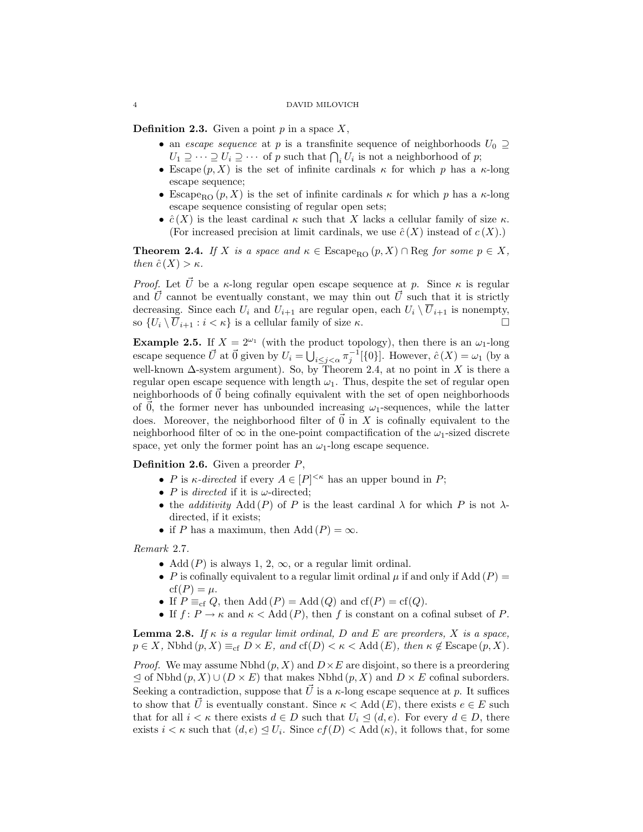**Definition 2.3.** Given a point  $p$  in a space  $X$ ,

- an escape sequence at p is a transfinite sequence of neighborhoods  $U_0 \supseteq$  $U_1 \supseteq \cdots \supseteq U_i \supseteq \cdots$  of p such that  $\bigcap_i U_i$  is not a neighborhood of p;
- Escape  $(p, X)$  is the set of infinite cardinals  $\kappa$  for which p has a  $\kappa$ -long escape sequence;
- Escape<sub>RO</sub>  $(p, X)$  is the set of infinite cardinals  $\kappa$  for which p has a  $\kappa$ -long escape sequence consisting of regular open sets;
- $\hat{c}(X)$  is the least cardinal  $\kappa$  such that X lacks a cellular family of size  $\kappa$ . (For increased precision at limit cardinals, we use  $\hat{c}(X)$  instead of  $c(X)$ .)

**Theorem 2.4.** If X is a space and  $\kappa \in \text{Escape}_{RO}(p, X) \cap \text{Reg for some } p \in X$ , then  $\hat{c}(X) > \kappa$ .

*Proof.* Let  $\vec{U}$  be a  $\kappa$ -long regular open escape sequence at p. Since  $\kappa$  is regular and  $\vec{U}$  cannot be eventually constant, we may thin out  $\vec{U}$  such that it is strictly decreasing. Since each  $U_i$  and  $U_{i+1}$  are regular open, each  $U_i \setminus \overline{U}_{i+1}$  is nonempty, so  $\{U_i \setminus \overline{U}_{i+1} : i < \kappa\}$  is a cellular family of size  $\kappa$ .

**Example 2.5.** If  $X = 2^{\omega_1}$  (with the product topology), then there is an  $\omega_1$ -long escape sequence  $\vec{U}$  at  $\vec{0}$  given by  $U_i = \bigcup_{i \leq j < \alpha} \pi_j^{-1}[\{0\}]$ . However,  $\hat{c}(X) = \omega_1$  (by a well-known  $\Delta$ -system argument). So, by Theorem 2.4, at no point in X is there a regular open escape sequence with length  $\omega_1$ . Thus, despite the set of regular open neighborhoods of  $\vec{0}$  being cofinally equivalent with the set of open neighborhoods of  $\vec{0}$ , the former never has unbounded increasing  $\omega_1$ -sequences, while the latter does. Moreover, the neighborhood filter of  $\vec{0}$  in X is cofinally equivalent to the neighborhood filter of  $\infty$  in the one-point compactification of the  $\omega_1$ -sized discrete space, yet only the former point has an  $\omega_1$ -long escape sequence.

**Definition 2.6.** Given a preorder  $P$ ,

- P is  $\kappa$ -directed if every  $A \in [P]^{<\kappa}$  has an upper bound in P;
- P is directed if it is  $\omega$ -directed;
- the additivity Add  $(P)$  of P is the least cardinal  $\lambda$  for which P is not  $\lambda$ directed, if it exists;
- if P has a maximum, then Add  $(P) = \infty$ .

Remark 2.7.

- Add  $(P)$  is always 1, 2,  $\infty$ , or a regular limit ordinal.
- P is cofinally equivalent to a regular limit ordinal  $\mu$  if and only if Add  $(P)$  =  $cf(P) = \mu$ .
- If  $P \equiv_{cf} Q$ , then Add  $(P) = \text{Add}(Q)$  and  $cf(P) = cf(Q)$ .
- If  $f: P \to \kappa$  and  $\kappa <$  Add  $(P)$ , then f is constant on a cofinal subset of P.

**Lemma 2.8.** If  $\kappa$  is a regular limit ordinal, D and E are preorders, X is a space,  $p \in X$ , Nbhd  $(p, X) \equiv_{\text{cf}} D \times E$ , and  $\text{cf}(D) < \kappa < \text{Add}(E)$ , then  $\kappa \notin \text{Escale}(p, X)$ .

*Proof.* We may assume Nbhd  $(p, X)$  and  $D \times E$  are disjoint, so there is a preordering  $\leq$  of Nbhd  $(p, X) \cup (D \times E)$  that makes Nbhd  $(p, X)$  and  $D \times E$  cofinal suborders. Seeking a contradiction, suppose that  $\vec{U}$  is a  $\kappa$ -long escape sequence at p. It suffices to show that  $\vec{U}$  is eventually constant. Since  $\kappa <$  Add  $(E)$ , there exists  $e \in E$  such that for all  $i < \kappa$  there exists  $d \in D$  such that  $U_i \leq (d, e)$ . For every  $d \in D$ , there exists  $i < \kappa$  such that  $(d, e) \leq U_i$ . Since  $cf(D) < \text{Add}(\kappa)$ , it follows that, for some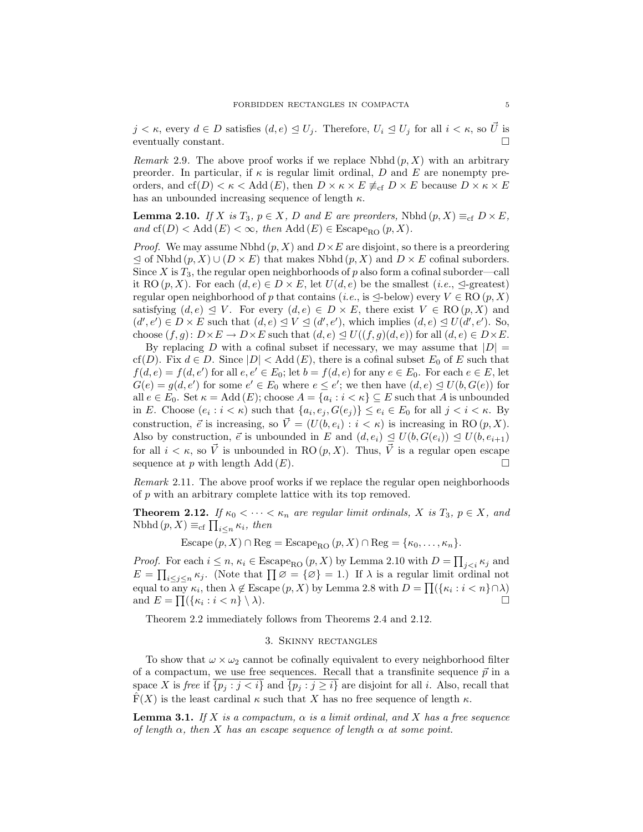$j < \kappa$ , every  $d \in D$  satisfies  $(d, e) \leq U_j$ . Therefore,  $U_i \leq U_j$  for all  $i < \kappa$ , so  $\vec{U}$  is eventually constant.

*Remark* 2.9. The above proof works if we replace Nbhd  $(p, X)$  with an arbitrary preorder. In particular, if  $\kappa$  is regular limit ordinal, D and E are nonempty preorders, and cf(D)  $<\kappa$  < Add (E), then  $D \times \kappa \times E \neq_{cf} D \times E$  because  $D \times \kappa \times E$ has an unbounded increasing sequence of length  $\kappa.$ 

**Lemma 2.10.** If X is  $T_3$ ,  $p \in X$ , D and E are preorders, Nbhd  $(p, X) \equiv_{cf} D \times E$ , and  $cf(D) < Add(E) < \infty$ , then Add  $(E) \in E \cong_{R_0}(p, X)$ .

*Proof.* We may assume Nbhd  $(p, X)$  and  $D \times E$  are disjoint, so there is a preordering  $\leq$  of Nbhd  $(p, X) \cup (D \times E)$  that makes Nbhd  $(p, X)$  and  $D \times E$  cofinal suborders. Since  $X$  is  $T_3$ , the regular open neighborhoods of p also form a cofinal suborder—call it RO  $(p, X)$ . For each  $(d, e) \in D \times E$ , let  $U(d, e)$  be the smallest  $(i.e., \triangleleft- \text{greatest})$ regular open neighborhood of p that contains (i.e., is  $\triangleleft$ -below) every  $V \in \text{RO}(p, X)$ satisfying  $(d, e) \leq V$ . For every  $(d, e) \in D \times E$ , there exist  $V \in \text{RO}(p, X)$  and  $(d', e') \in D \times E$  such that  $(d, e) \subseteq V \subseteq (d', e')$ , which implies  $(d, e) \subseteq U(d', e')$ . So, choose  $(f,g): D\times E \to D\times E$  such that  $(d,e) \leq U((f,g)(d,e))$  for all  $(d,e) \in D\times E$ .

By replacing D with a cofinal subset if necessary, we may assume that  $|D| =$ cf(D). Fix  $d \in D$ . Since  $|D| <$  Add(E), there is a cofinal subset  $E_0$  of E such that  $f(d, e) = f(d, e')$  for all  $e, e' \in E_0$ ; let  $b = f(d, e)$  for any  $e \in E_0$ . For each  $e \in E$ , let  $G(e) = g(d, e')$  for some  $e' \in E_0$  where  $e \leq e'$ ; we then have  $(d, e) \leq U(b, G(e))$  for all  $e \in E_0$ . Set  $\kappa = \text{Add}(E)$ ; choose  $A = \{a_i : i < \kappa\} \subseteq E$  such that A is unbounded in E. Choose  $(e_i : i < \kappa)$  such that  $\{a_i, e_j, G(e_j)\} \le e_i \in E_0$  for all  $j < i < \kappa$ . By construction,  $\vec{e}$  is increasing, so  $\vec{V} = (U(b, e_i) : i < \kappa)$  is increasing in RO  $(p, X)$ . Also by construction,  $\vec{e}$  is unbounded in E and  $(d, e_i) \leq U(b, G(e_i)) \leq U(b, e_{i+1})$ for all  $i < \kappa$ , so  $\vec{V}$  is unbounded in RO  $(p, X)$ . Thus,  $\vec{V}$  is a regular open escape sequence at p with length Add  $(E)$ .

Remark 2.11. The above proof works if we replace the regular open neighborhoods of p with an arbitrary complete lattice with its top removed.

**Theorem 2.12.** If  $\kappa_0 < \cdots < \kappa_n$  are regular limit ordinals, X is  $T_3$ ,  $p \in X$ , and Nbhd  $(p, X) \equiv_{\text{cf}} \prod_{i \leq n} \kappa_i$ , then

Escape  $(p, X) \cap \text{Reg} = \text{Escape}_{\text{RO}}(p, X) \cap \text{Reg} = \{\kappa_0, \ldots, \kappa_n\}.$ 

*Proof.* For each  $i \leq n$ ,  $\kappa_i \in \text{Escape}_{\text{RO}}(p, X)$  by Lemma 2.10 with  $D = \prod_{j < i} \kappa_j$  and  $E = \prod_{i \leq j \leq n} \kappa_j$ . (Note that  $\prod \varnothing = {\varnothing} = 1$ .) If  $\lambda$  is a regular limit ordinal not equal to any  $\kappa_i$ , then  $\lambda \notin \text{Escape}(p, X)$  by Lemma 2.8 with  $D = \prod(\{\kappa_i : i < n\} \cap \lambda)$ and  $E = \prod (\{\kappa_i : i < n\} \setminus \lambda).$ 

Theorem 2.2 immediately follows from Theorems 2.4 and 2.12.

# 3. Skinny rectangles

To show that  $\omega \times \omega_2$  cannot be cofinally equivalent to every neighborhood filter of a compactum, we use free sequences. Recall that a transfinite sequence  $\vec{p}$  in a space X is free if  $\{p_j : j < i\}$  and  $\{p_j : j \geq i\}$  are disjoint for all i. Also, recall that  $\widehat{F}(X)$  is the least cardinal  $\kappa$  such that X has no free sequence of length  $\kappa$ .

**Lemma 3.1.** If X is a compactum,  $\alpha$  is a limit ordinal, and X has a free sequence of length  $\alpha$ , then X has an escape sequence of length  $\alpha$  at some point.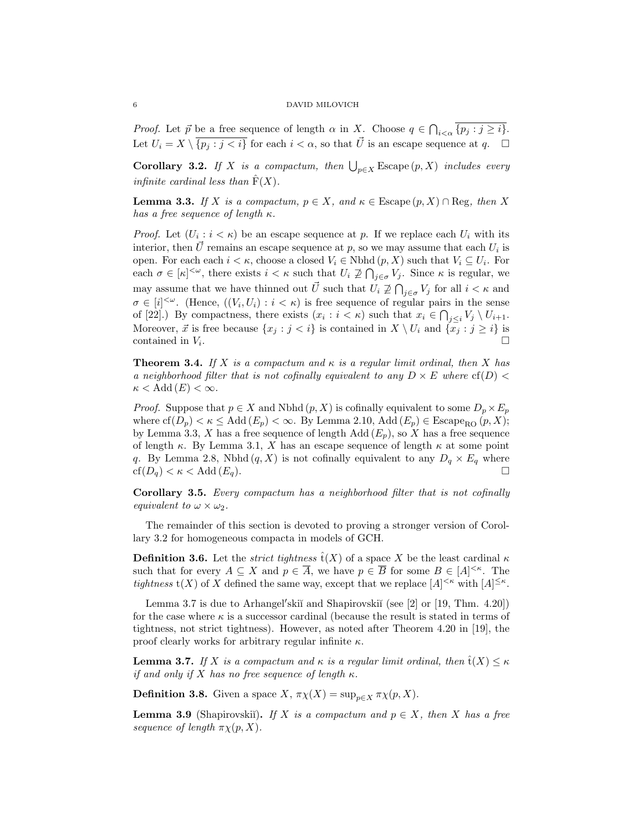*Proof.* Let  $\vec{p}$  be a free sequence of length  $\alpha$  in X. Choose  $q \in \bigcap_{i < \alpha} \{p_j : j \geq i\}.$ Let  $U_i = X \setminus \overline{\{p_j : j < i\}}$  for each  $i < \alpha$ , so that  $\vec{U}$  is an escape sequence at q.  $\Box$ 

**Corollary 3.2.** If X is a compactum, then  $\bigcup_{p\in X}$  Escape  $(p, X)$  includes every infinite cardinal less than  $\hat{F}(X)$ .

**Lemma 3.3.** If X is a compactum,  $p \in X$ , and  $\kappa \in \text{Escape}(p, X) \cap \text{Reg}$ , then X has a free sequence of length  $\kappa$ .

*Proof.* Let  $(U_i : i < \kappa)$  be an escape sequence at p. If we replace each  $U_i$  with its interior, then  $\vec{U}$  remains an escape sequence at p, so we may assume that each  $U_i$  is open. For each each  $i < \kappa$ , choose a closed  $V_i \in \text{Nbhd}(p, X)$  such that  $V_i \subseteq U_i$ . For each  $\sigma \in [\kappa]^{<\omega}$ , there exists  $i < \kappa$  such that  $U_i \not\supseteq \bigcap_{j \in \sigma} V_j$ . Since  $\kappa$  is regular, we may assume that we have thinned out  $\vec{U}$  such that  $U_i \not\supseteq \bigcap_{j \in \sigma} V_j$  for all  $i < \kappa$  and  $\sigma \in [i]^{<\omega}$ . (Hence,  $((V_i, U_i) : i < \kappa)$  is free sequence of regular pairs in the sense of [22].) By compactness, there exists  $(x_i : i < \kappa)$  such that  $x_i \in \bigcap_{j \leq i} V_j \setminus U_{i+1}$ . Moreover,  $\vec{x}$  is free because  $\{x_j : j < i\}$  is contained in  $X \setminus U_i$  and  $\{\overline{x_j} : j \geq i\}$  is contained in  $V_i$ . .

**Theorem 3.4.** If X is a compactum and  $\kappa$  is a regular limit ordinal, then X has a neighborhood filter that is not cofinally equivalent to any  $D \times E$  where  $cf(D)$  $\kappa <$  Add  $(E) < \infty$ .

*Proof.* Suppose that  $p \in X$  and Nbhd  $(p, X)$  is cofinally equivalent to some  $D_p \times E_p$ where  $cf(D_p) < \kappa \leq Add(E_p) < \infty$ . By Lemma 2.10,  $Add(E_p) \in E \text{scope}_{RO}(p, X);$ by Lemma 3.3, X has a free sequence of length Add  $(E_p)$ , so X has a free sequence of length  $\kappa$ . By Lemma 3.1, X has an escape sequence of length  $\kappa$  at some point q. By Lemma 2.8, Nbhd  $(q, X)$  is not cofinally equivalent to any  $D_q \times E_q$  where  $cf(D_q) < \kappa < \text{Add}(E_q).$ 

Corollary 3.5. Every compactum has a neighborhood filter that is not cofinally equivalent to  $\omega \times \omega_2$ .

The remainder of this section is devoted to proving a stronger version of Corollary 3.2 for homogeneous compacta in models of GCH.

**Definition 3.6.** Let the *strict tightness*  $\hat{t}(X)$  of a space X be the least cardinal  $\kappa$ such that for every  $A \subseteq X$  and  $p \in \overline{A}$ , we have  $p \in \overline{B}$  for some  $B \in [A]^{<\kappa}$ . The tightness  $t(X)$  of X defined the same way, except that we replace  $[A]^{<\kappa}$  with  $[A]^{\leq\kappa}$ .

Lemma 3.7 is due to Arhangel'skiĭ and Shapirovskiĭ (see [2] or [19, Thm. 4.20]) for the case where  $\kappa$  is a successor cardinal (because the result is stated in terms of tightness, not strict tightness). However, as noted after Theorem 4.20 in [19], the proof clearly works for arbitrary regular infinite  $\kappa$ .

**Lemma 3.7.** If X is a compactum and  $\kappa$  is a regular limit ordinal, then  $\hat{\mathsf{t}}(X) \leq \kappa$ if and only if X has no free sequence of length  $\kappa$ .

**Definition 3.8.** Given a space  $X$ ,  $\pi \chi(X) = \sup_{n \in X} \pi \chi(p, X)$ .

**Lemma 3.9** (Shapirovskii). If X is a compactum and  $p \in X$ , then X has a free sequence of length  $\pi \chi(p, X)$ .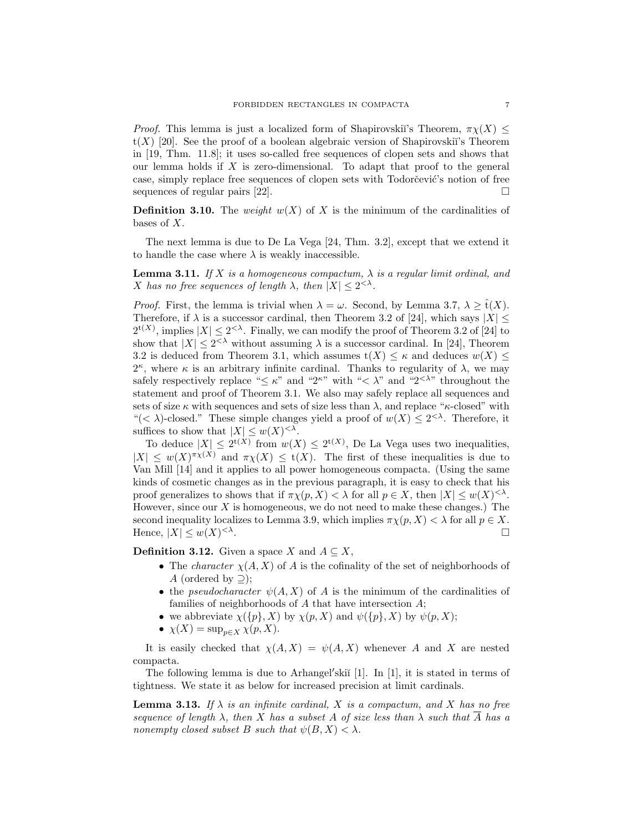*Proof.* This lemma is just a localized form of Shapirovskiı's Theorem,  $\pi_Y(X)$  <  $t(X)$  [20]. See the proof of a boolean algebraic version of Shapirovskiı's Theorem in [19, Thm. 11.8]; it uses so-called free sequences of clopen sets and shows that our lemma holds if  $X$  is zero-dimensional. To adapt that proof to the general case, simply replace free sequences of clopen sets with Todorčević's notion of free sequences of regular pairs [22].  $\Box$ 

**Definition 3.10.** The weight  $w(X)$  of X is the minimum of the cardinalities of bases of X.

The next lemma is due to De La Vega [24, Thm. 3.2], except that we extend it to handle the case where  $\lambda$  is weakly inaccessible.

**Lemma 3.11.** If X is a homogeneous compactum,  $\lambda$  is a regular limit ordinal, and X has no free sequences of length  $\lambda$ , then  $|X| \leq 2^{<\lambda}$ .

*Proof.* First, the lemma is trivial when  $\lambda = \omega$ . Second, by Lemma 3.7,  $\lambda \geq \hat{t}(X)$ . Therefore, if  $\lambda$  is a successor cardinal, then Theorem 3.2 of [24], which says  $|X| \leq$  $2^{t(X)}$ , implies  $|X| \leq 2^{<\lambda}$ . Finally, we can modify the proof of Theorem 3.2 of [24] to show that  $|X| \leq 2^{<\lambda}$  without assuming  $\lambda$  is a successor cardinal. In [24], Theorem 3.2 is deduced from Theorem 3.1, which assumes  $t(X) \leq \kappa$  and deduces  $w(X) \leq$  $2^{\kappa}$ , where  $\kappa$  is an arbitrary infinite cardinal. Thanks to regularity of  $\lambda$ , we may safely respectively replace " $\leq \kappa$ " and "2<sup> $\kappa$ </sup>" with " $\lt \lambda$ " and "2<sup> $\lt \lambda$ </sup>" throughout the statement and proof of Theorem 3.1. We also may safely replace all sequences and sets of size  $\kappa$  with sequences and sets of size less than  $\lambda$ , and replace " $\kappa$ -closed" with "(<  $\lambda$ )-closed." These simple changes yield a proof of  $w(X) \leq 2^{<\lambda}$ . Therefore, it suffices to show that  $|X| \leq w(X)^{<\lambda}$ .

To deduce  $|X| \leq 2^{t(X)}$  from  $w(X) \leq 2^{t(X)}$ , De La Vega uses two inequalities,  $|X| \leq w(X)^{\pi_X(X)}$  and  $\pi_X(X) \leq t(X)$ . The first of these inequalities is due to Van Mill [14] and it applies to all power homogeneous compacta. (Using the same kinds of cosmetic changes as in the previous paragraph, it is easy to check that his proof generalizes to shows that if  $\pi \chi(p, X) < \lambda$  for all  $p \in X$ , then  $|X| \leq w(X)^{<\lambda}$ . However, since our  $X$  is homogeneous, we do not need to make these changes.) The second inequality localizes to Lemma 3.9, which implies  $\pi \chi(p, X) < \lambda$  for all  $p \in X$ . Hence,  $|X| \leq w(X)^{<\lambda}$ .

**Definition 3.12.** Given a space X and  $A \subseteq X$ ,

- The *character*  $\chi(A, X)$  of A is the cofinality of the set of neighborhoods of A (ordered by  $\supset$ );
- the *pseudocharacter*  $\psi(A, X)$  of A is the minimum of the cardinalities of families of neighborhoods of  $A$  that have intersection  $A$ ;
- we abbreviate  $\chi(\{p\}, X)$  by  $\chi(p, X)$  and  $\psi(\{p\}, X)$  by  $\psi(p, X)$ ;
- $\chi(X) = \sup_{p \in X} \chi(p, X).$

It is easily checked that  $\chi(A, X) = \psi(A, X)$  whenever A and X are nested compacta.

The following lemma is due to Arhangel'skiı̆  $[1]$ . In  $[1]$ , it is stated in terms of tightness. We state it as below for increased precision at limit cardinals.

**Lemma 3.13.** If  $\lambda$  is an infinite cardinal, X is a compactum, and X has no free sequence of length  $\lambda$ , then X has a subset A of size less than  $\lambda$  such that  $\overline{A}$  has a nonempty closed subset B such that  $\psi(B, X) < \lambda$ .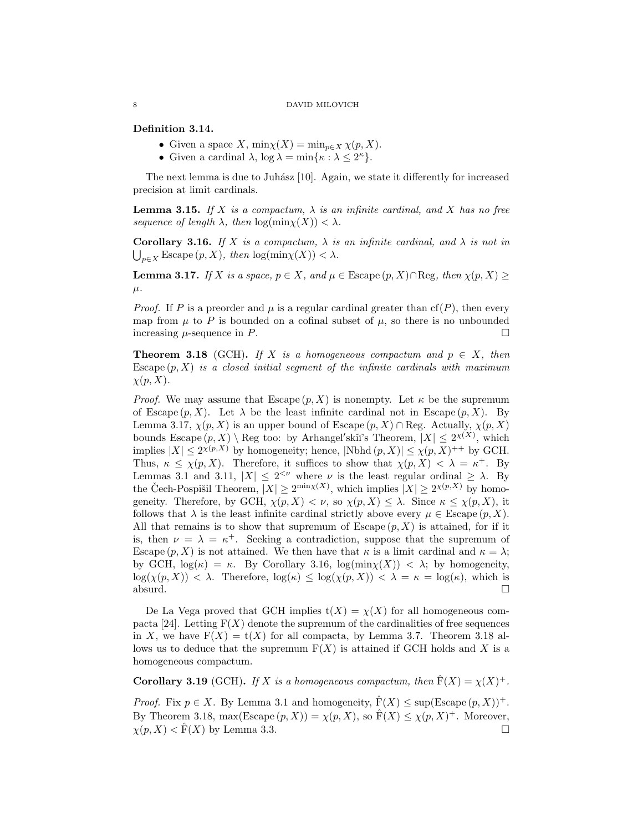Definition 3.14.

- Given a space X,  $\min_{X}(X) = \min_{p \in X} \chi(p, X)$ .
- Given a cardinal  $\lambda$ ,  $\log \lambda = \min\{\kappa : \lambda \leq 2^{\kappa}\}.$

The next lemma is due to Juhász  $[10]$ . Again, we state it differently for increased precision at limit cardinals.

**Lemma 3.15.** If X is a compactum,  $\lambda$  is an infinite cardinal, and X has no free sequence of length  $\lambda$ , then  $\log(\min_{X} X) < \lambda$ .

Corollary 3.16. If X is a compactum,  $\lambda$  is an infinite cardinal, and  $\lambda$  is not in  $\bigcup_{p\in X}$  Escape  $(p, X)$ , then  $\log(\min_X(X)) < \lambda$ .

**Lemma 3.17.** If X is a space,  $p \in X$ , and  $\mu \in \text{Example}(p, X) \cap \text{Reg}$ , then  $\chi(p, X) \ge$  $\mu$ .

*Proof.* If P is a preorder and  $\mu$  is a regular cardinal greater than cf(P), then every map from  $\mu$  to P is bounded on a cofinal subset of  $\mu$ , so there is no unbounded increasing  $\mu$ -sequence in P.

**Theorem 3.18** (GCH). If X is a homogeneous compactum and  $p \in X$ , then Escape  $(p, X)$  is a closed initial segment of the infinite cardinals with maximum  $\chi(p, X)$ .

*Proof.* We may assume that Escape  $(p, X)$  is nonempty. Let  $\kappa$  be the supremum of Escape  $(p, X)$ . Let  $\lambda$  be the least infinite cardinal not in Escape  $(p, X)$ . By Lemma 3.17,  $\chi(p, X)$  is an upper bound of Escape  $(p, X) \cap$ Reg. Actually,  $\chi(p, X)$ bounds Escape  $(p, X) \setminus \text{Reg too: by Arhangel'skii's Theorem, } |X| \leq 2^{\chi(X)}$ , which implies  $|X| \leq 2^{\chi(p,X)}$  by homogeneity; hence,  $|\text{Nbhd}(p,X)| \leq \chi(p,X)^{++}$  by GCH. Thus,  $\kappa \leq \chi(p, X)$ . Therefore, it suffices to show that  $\chi(p, X) < \lambda = \kappa^+$ . By Lemmas 3.1 and 3.11,  $|X| \leq 2^{<\nu}$  where  $\nu$  is the least regular ordinal  $\geq \lambda$ . By the Čech-Pospišil Theorem,  $|X| \ge 2^{\min_X(X)}$ , which implies  $|X| \ge 2^{\chi(p,X)}$  by homogeneity. Therefore, by GCH,  $\chi(p, X) < \nu$ , so  $\chi(p, X) \leq \lambda$ . Since  $\kappa \leq \chi(p, X)$ , it follows that  $\lambda$  is the least infinite cardinal strictly above every  $\mu \in \text{Escale}(p, X)$ . All that remains is to show that supremum of  $\text{Escale}(p, X)$  is attained, for if it is, then  $\nu = \lambda = \kappa^+$ . Seeking a contradiction, suppose that the supremum of Escape  $(p, X)$  is not attained. We then have that  $\kappa$  is a limit cardinal and  $\kappa = \lambda$ ; by GCH,  $\log(\kappa) = \kappa$ . By Corollary 3.16,  $\log(\min(\chi)) < \lambda$ ; by homogeneity,  $\log(\chi(p, X)) < \lambda$ . Therefore,  $\log(\kappa) \leq \log(\chi(p, X)) < \lambda = \kappa = \log(\kappa)$ , which is  $\Box$ absurd.  $\Box$ 

De La Vega proved that GCH implies  $t(X) = \chi(X)$  for all homogeneous compacta [24]. Letting  $F(X)$  denote the supremum of the cardinalities of free sequences in X, we have  $F(X) = t(X)$  for all compacts, by Lemma 3.7. Theorem 3.18 allows us to deduce that the supremum  $F(X)$  is attained if GCH holds and X is a homogeneous compactum.

**Corollary 3.19** (GCH). If X is a homogeneous compactum, then  $\hat{F}(X) = \chi(X)^+$ .

*Proof.* Fix  $p \in X$ . By Lemma 3.1 and homogeneity,  $\hat{F}(X) \leq \sup(\text{Escale}(p, X))^+$ . By Theorem 3.18, max(Escape  $(p, X)$ ) =  $\chi(p, X)$ , so  $\hat{F}(X) \leq \chi(p, X)^{+}$ . Moreover,  $\chi(p, X) < \hat{F}(X)$  by Lemma 3.3.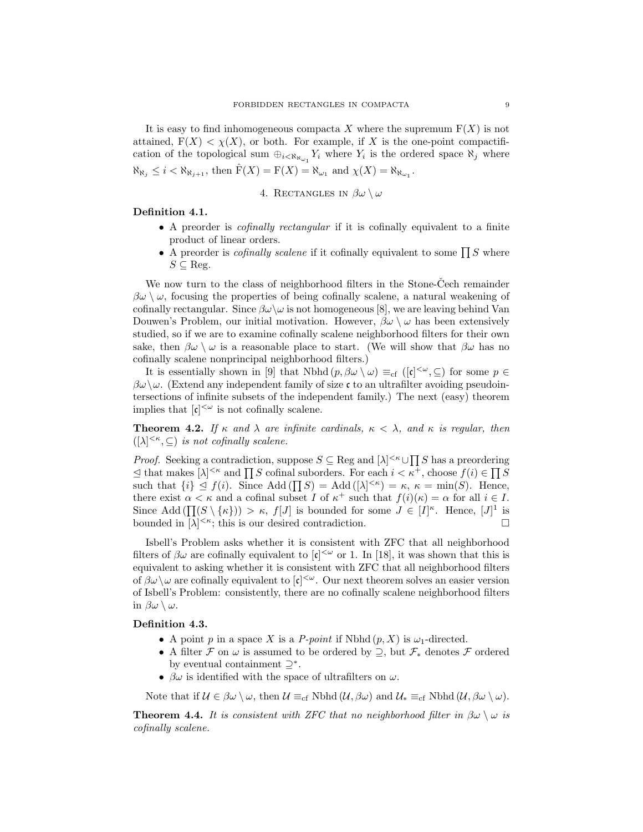It is easy to find inhomogeneous compacta X where the supremum  $F(X)$  is not attained,  $F(X) < \chi(X)$ , or both. For example, if X is the one-point compactification of the topological sum  $\bigoplus_{i \leq \aleph_{\aleph_{\omega_1}}} Y_i$  where  $Y_i$  is the ordered space  $\aleph_j$  where  $\aleph_{\aleph_j} \leq i < \aleph_{\aleph_{j+1}}$ , then  $\widehat{F}(X) = F(X) = \aleph_{\omega_1}$  and  $\chi(X) = \aleph_{\aleph_{\omega_1}}$ .

4. RECTANGLES IN  $\beta\omega \setminus \omega$ 

# Definition 4.1.

- A preorder is *cofinally rectangular* if it is cofinally equivalent to a finite product of linear orders.
- A preorder is *cofinally scalene* if it cofinally equivalent to some  $\prod S$  where  $S \subseteq \text{Reg.}$

We now turn to the class of neighborhood filters in the Stone-Cech remainder  $\beta\omega \setminus \omega$ , focusing the properties of being cofinally scalene, a natural weakening of cofinally rectangular. Since  $\beta\omega\setminus\omega$  is not homogeneous [8], we are leaving behind Van Douwen's Problem, our initial motivation. However,  $\beta \omega \setminus \omega$  has been extensively studied, so if we are to examine cofinally scalene neighborhood filters for their own sake, then  $\beta\omega \setminus \omega$  is a reasonable place to start. (We will show that  $\beta\omega$  has no cofinally scalene nonprincipal neighborhood filters.)

It is essentially shown in [9] that Nbhd  $(p, \beta \omega \setminus \omega) \equiv_{cf} ([\mathfrak{c}]^{<\omega}, \subseteq)$  for some  $p \in$  $\beta\omega\setminus\omega$ . (Extend any independent family of size c to an ultrafilter avoiding pseudointersections of infinite subsets of the independent family.) The next (easy) theorem implies that  $[\mathfrak{c}]^{<\omega}$  is not cofinally scalene.

**Theorem 4.2.** If  $\kappa$  and  $\lambda$  are infinite cardinals,  $\kappa < \lambda$ , and  $\kappa$  is regular, then  $(|\lambda|^{<\kappa}, \subseteq)$  is not cofinally scalene.

*Proof.* Seeking a contradiction, suppose  $S \subseteq \text{Reg}$  and  $[\lambda]^{<\kappa} \cup \prod S$  has a preordering  $\leq$  that makes  $[\lambda]^{<\kappa}$  and  $\prod S$  cofinal suborders. For each  $i < \kappa^+$ , choose  $f(i) \in \prod S$ such that  $\{i\} \leq f(i)$ . Since Add  $(\prod S) = \text{Add}([\lambda]^{<\kappa}) = \kappa$ ,  $\kappa = \min(S)$ . Hence, there exist  $\alpha < \kappa$  and a cofinal subset I of  $\kappa^+$  such that  $f(i)(\kappa) = \alpha$  for all  $i \in I$ . Since Add  $(\prod (S \setminus \{\kappa\})) > \kappa$ ,  $f[J]$  is bounded for some  $J \in [I]^{\kappa}$ . Hence,  $[J]^1$  is bounded in  $[\lambda]^{<\kappa}$ ; this is our desired contradiction.

Isbell's Problem asks whether it is consistent with ZFC that all neighborhood filters of  $\beta\omega$  are cofinally equivalent to  $|\mathfrak{c}|^{\langle\omega\rangle}$  or 1. In [18], it was shown that this is equivalent to asking whether it is consistent with ZFC that all neighborhood filters of  $\beta\omega\setminus\omega$  are cofinally equivalent to  $[\mathfrak{c}]^{<\omega}$ . Our next theorem solves an easier version of Isbell's Problem: consistently, there are no cofinally scalene neighborhood filters in  $\beta\omega \setminus \omega$ .

# Definition 4.3.

- A point p in a space X is a P-point if Nbhd  $(p, X)$  is  $\omega_1$ -directed.
- A filter  $\mathcal F$  on  $\omega$  is assumed to be ordered by  $\supseteq$ , but  $\mathcal F_*$  denotes  $\mathcal F$  ordered by eventual containment  $\supseteq^*$ .
- $\beta\omega$  is identified with the space of ultrafilters on  $\omega$ .

Note that if  $\mathcal{U} \in \beta \omega \setminus \omega$ , then  $\mathcal{U} \equiv_{cf} \text{Nbhd}(\mathcal{U}, \beta \omega)$  and  $\mathcal{U}_* \equiv_{cf} \text{Nbhd}(\mathcal{U}, \beta \omega \setminus \omega)$ .

**Theorem 4.4.** It is consistent with ZFC that no neighborhood filter in  $\beta \omega \setminus \omega$  is cofinally scalene.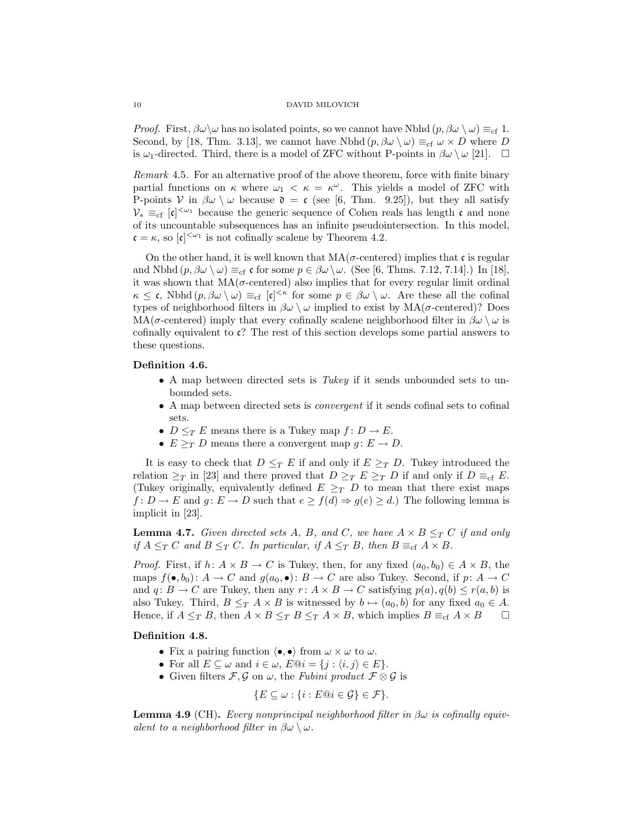*Proof.* First,  $\beta\omega\setminus\omega$  has no isolated points, so we cannot have Nbhd  $(p, \beta\omega\setminus\omega) \equiv_{\rm cf} 1$ . Second, by [18, Thm. 3.13], we cannot have Nbhd  $(p, \beta \omega \setminus \omega) \equiv_{cf} \omega \times D$  where D is  $\omega_1$ -directed. Third, there is a model of ZFC without P-points in  $\beta \omega \setminus \omega$  [21].  $\Box$ 

Remark 4.5. For an alternative proof of the above theorem, force with finite binary partial functions on  $\kappa$  where  $\omega_1 < \kappa = \kappa^\omega$ . This yields a model of ZFC with P-points V in  $\beta\omega \setminus \omega$  because  $\mathfrak{d} = \mathfrak{c}$  (see [6, Thm. 9.25]), but they all satisfy  $\mathcal{V}_* \equiv_{cf} [\mathfrak{c}]^{<\omega_1}$  because the generic sequence of Cohen reals has length  $\mathfrak{c}$  and none of its uncountable subsequences has an infinite pseudointersection. In this model,  $\mathfrak{c} = \kappa$ , so  $|\mathfrak{c}|^{\langle \omega_1 \rangle}$  is not cofinally scalene by Theorem 4.2.

On the other hand, it is well known that  $MA(\sigma$ -centered) implies that c is regular and Nbhd  $(p, \beta \omega \setminus \omega) \equiv_{cf} c$  for some  $p \in \beta \omega \setminus \omega$ . (See [6, Thms. 7.12, 7.14].) In [18], it was shown that  $MA(\sigma$ -centered) also implies that for every regular limit ordinal  $\kappa \leq \mathfrak{c}$ , Nbhd  $(p, \beta \omega \setminus \omega) \equiv_{\mathrm{cf}} [\mathfrak{c}]^{\leq \kappa}$  for some  $p \in \beta \omega \setminus \omega$ . Are these all the cofinal types of neighborhood filters in  $\beta\omega \setminus \omega$  implied to exist by  $MA(\sigma$ -centered)? Does  $MA(\sigma$ -centered) imply that every cofinally scalene neighborhood filter in  $\beta\omega \setminus \omega$  is cofinally equivalent to c? The rest of this section develops some partial answers to these questions.

# Definition 4.6.

- A map between directed sets is Tukey if it sends unbounded sets to unbounded sets.
- A map between directed sets is convergent if it sends cofinal sets to cofinal sets.
- $D \leq_T E$  means there is a Tukey map  $f: D \to E$ .
- $E \geq_T D$  means there a convergent map  $g: E \to D$ .

It is easy to check that  $D \leq_T E$  if and only if  $E \geq_T D$ . Tukey introduced the relation  $\geq_T$  in [23] and there proved that  $D \geq_T E \geq_T D$  if and only if  $D \equiv_{cf} E$ . (Tukey originally, equivalently defined  $E \geq_T D$  to mean that there exist maps  $f: D \to E$  and  $g: E \to D$  such that  $e \ge f(d) \Rightarrow g(e) \ge d$ .) The following lemma is implicit in [23].

**Lemma 4.7.** Given directed sets A, B, and C, we have  $A \times B \leq_T C$  if and only if  $A \leq_T C$  and  $B \leq_T C$ . In particular, if  $A \leq_T B$ , then  $B \equiv_{cf} A \times B$ .

*Proof.* First, if  $h: A \times B \to C$  is Tukey, then, for any fixed  $(a_0, b_0) \in A \times B$ , the maps  $f(\bullet, b_0): A \to C$  and  $g(a_0, \bullet): B \to C$  are also Tukey. Second, if  $p: A \to C$ and  $q: B \to C$  are Tukey, then any  $r: A \times B \to C$  satisfying  $p(a), q(b) \leq r(a, b)$  is also Tukey. Third,  $B \leq_T A \times B$  is witnessed by  $b \mapsto (a_0, b)$  for any fixed  $a_0 \in A$ . Hence, if  $A \leq_T B$ , then  $A \times B \leq_T B \leq_T A \times B$ , which implies  $B \equiv_{cf} A \times B$ 

## Definition 4.8.

- Fix a pairing function  $\langle \bullet, \bullet \rangle$  from  $\omega \times \omega$  to  $\omega$ .
- For all  $E \subseteq \omega$  and  $i \in \omega$ ,  $E@i = \{j : \langle i, j \rangle \in E\}.$
- Given filters  $\mathcal{F}, \mathcal{G}$  on  $\omega$ , the Fubini product  $\mathcal{F} \otimes \mathcal{G}$  is

$$
\{E \subseteq \omega : \{i : E @ i \in \mathcal{G}\} \in \mathcal{F}\}.
$$

**Lemma 4.9** (CH). Every nonprincipal neighborhood filter in  $\beta\omega$  is cofinally equivalent to a neighborhood filter in  $\beta\omega \setminus \omega$ .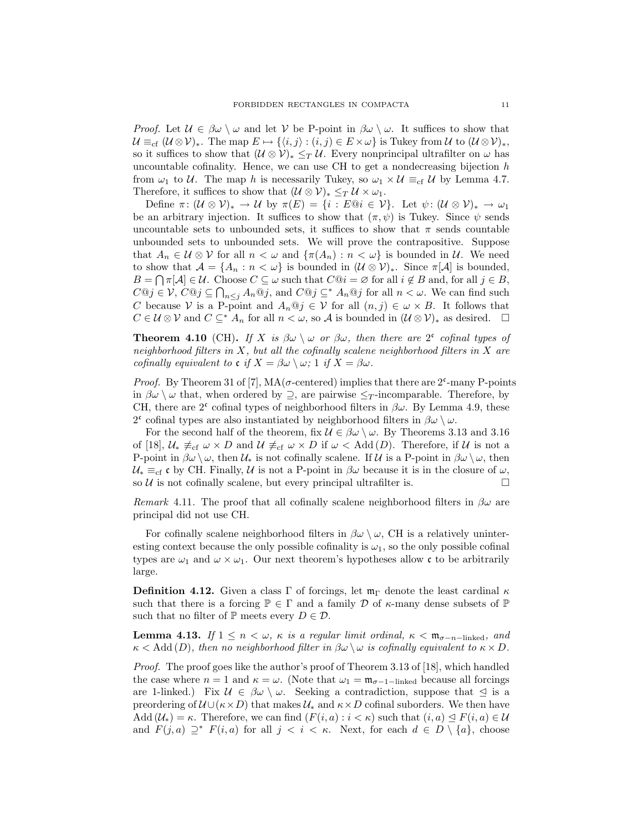*Proof.* Let  $\mathcal{U} \in \beta \omega \setminus \omega$  and let V be P-point in  $\beta \omega \setminus \omega$ . It suffices to show that  $\mathcal{U} \equiv_{\mathrm{cf}} (\mathcal{U} \otimes \mathcal{V})_*$ . The map  $E \mapsto \{ \langle i, j \rangle : (i, j) \in E \times \omega \}$  is Tukey from  $\mathcal{U}$  to  $(\mathcal{U} \otimes \mathcal{V})_*$ , so it suffices to show that  $(U \otimes V)_* \leq_T U$ . Every nonprincipal ultrafilter on  $\omega$  has uncountable cofinality. Hence, we can use CH to get a nondecreasing bijection  $h$ from  $\omega_1$  to U. The map h is necessarily Tukey, so  $\omega_1 \times U \equiv_{cf} U$  by Lemma 4.7. Therefore, it suffices to show that  $(\mathcal{U} \otimes \mathcal{V})_* \leq_T \mathcal{U} \times \omega_1$ .

Define  $\pi: (\mathcal{U} \otimes \mathcal{V})_* \to \mathcal{U}$  by  $\pi(E) = \{i : E \otimes i \in \mathcal{V}\}\$ . Let  $\psi: (\mathcal{U} \otimes \mathcal{V})_* \to \omega_1$ be an arbitrary injection. It suffices to show that  $(\pi, \psi)$  is Tukey. Since  $\psi$  sends uncountable sets to unbounded sets, it suffices to show that  $\pi$  sends countable unbounded sets to unbounded sets. We will prove the contrapositive. Suppose that  $A_n \in \mathcal{U} \otimes \mathcal{V}$  for all  $n < \omega$  and  $\{\pi(A_n) : n < \omega\}$  is bounded in  $\mathcal{U}$ . We need to show that  $\mathcal{A} = \{A_n : n < \omega\}$  is bounded in  $(\mathcal{U} \otimes \mathcal{V})_*$ . Since  $\pi[\mathcal{A}]$  is bounded,  $B = \bigcap \pi[A] \in \mathcal{U}$ . Choose  $C \subseteq \omega$  such that  $C@i = \varnothing$  for all  $i \notin B$  and, for all  $j \in B$ ,  $C@j \in V$ ,  $C@j \subseteq \bigcap_{n \leq j} A_n@j$ , and  $C@j \subseteq^* A_n@j$  for all  $n < \omega$ . We can find such C because V is a P-point and  $A_n \mathbb{Q} j \in V$  for all  $(n, j) \in \omega \times B$ . It follows that  $C \in \mathcal{U} \otimes \mathcal{V}$  and  $C \subseteq^* A_n$  for all  $n < \omega$ , so A is bounded in  $(\mathcal{U} \otimes \mathcal{V})_*$  as desired.  $\square$ 

**Theorem 4.10** (CH). If X is  $\beta\omega \setminus \omega$  or  $\beta\omega$ , then there are 2<sup>c</sup> cofinal types of neighborhood filters in  $X$ , but all the cofinally scalene neighborhood filters in  $X$  are cofinally equivalent to  $\mathfrak{c}$  if  $X = \beta \omega \setminus \omega$ ; 1 if  $X = \beta \omega$ .

*Proof.* By Theorem 31 of [7],  $MA(\sigma$ -centered) implies that there are  $2^{\epsilon}$ -many P-points in  $\beta\omega \setminus \omega$  that, when ordered by  $\supseteq$ , are pairwise  $\leq_T$ -incomparable. Therefore, by CH, there are  $2^c$  cofinal types of neighborhood filters in  $\beta\omega$ . By Lemma 4.9, these 2<sup>c</sup> cofinal types are also instantiated by neighborhood filters in  $\beta\omega \setminus \omega$ .

For the second half of the theorem, fix  $\mathcal{U} \in \beta \omega \setminus \omega$ . By Theorems 3.13 and 3.16 of [18],  $\mathcal{U}_* \not\equiv_{cf} \omega \times D$  and  $\mathcal{U} \not\equiv_{cf} \omega \times D$  if  $\omega <$  Add  $(D)$ . Therefore, if  $\mathcal{U}$  is not a P-point in  $\beta\omega\setminus\omega$ , then  $\mathcal{U}_*$  is not cofinally scalene. If  $\mathcal{U}$  is a P-point in  $\beta\omega\setminus\omega$ , then  $\mathcal{U}_* \equiv_{cf} \mathfrak{c}$  by CH. Finally,  $\mathcal{U}$  is not a P-point in  $\beta\omega$  because it is in the closure of  $\omega$ , so  $\mathcal U$  is not cofinally scalene, but every principal ultrafilter is.

Remark 4.11. The proof that all cofinally scalene neighborhood filters in  $\beta\omega$  are principal did not use CH.

For cofinally scalene neighborhood filters in  $\beta\omega \setminus \omega$ , CH is a relatively uninteresting context because the only possible cofinality is  $\omega_1$ , so the only possible cofinal types are  $\omega_1$  and  $\omega \times \omega_1$ . Our next theorem's hypotheses allow c to be arbitrarily large.

**Definition 4.12.** Given a class Γ of forcings, let  $\mathfrak{m}_{\Gamma}$  denote the least cardinal  $\kappa$ such that there is a forcing  $\mathbb{P} \in \Gamma$  and a family D of  $\kappa$ -many dense subsets of  $\mathbb{P}$ such that no filter of  $\mathbb P$  meets every  $D \in \mathcal D$ .

**Lemma 4.13.** If  $1 \le n < \omega$ ,  $\kappa$  is a regular limit ordinal,  $\kappa < \mathfrak{m}_{\sigma-n-\text{linked}}$ , and  $\kappa <$  Add (D), then no neighborhood filter in  $\beta\omega \setminus \omega$  is cofinally equivalent to  $\kappa \times D$ .

Proof. The proof goes like the author's proof of Theorem 3.13 of [18], which handled the case where  $n = 1$  and  $\kappa = \omega$ . (Note that  $\omega_1 = \mathfrak{m}_{\sigma-1-\text{linked}}$  because all forcings are 1-linked.) Fix  $\mathcal{U} \in \beta \omega \setminus \omega$ . Seeking a contradiction, suppose that  $\leq$  is a preordering of  $U \cup (\kappa \times D)$  that makes  $U_*$  and  $\kappa \times D$  cofinal suborders. We then have Add  $(\mathcal{U}_*) = \kappa$ . Therefore, we can find  $(F(i, a) : i < \kappa)$  such that  $(i, a) \leq F(i, a) \in \mathcal{U}$ and  $F(j, a) \supseteq^* F(i, a)$  for all  $j < i < \kappa$ . Next, for each  $d \in D \setminus \{a\}$ , choose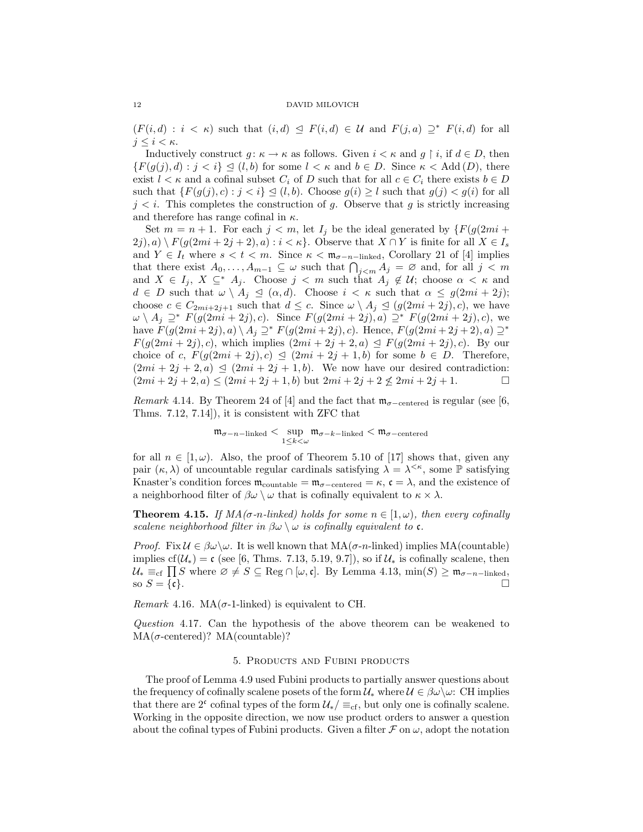$(F(i, d) : i < \kappa)$  such that  $(i, d) \leq F(i, d) \in \mathcal{U}$  and  $F(j, a) \supseteq^* F(i, d)$  for all  $j \leq i < \kappa$ .

Inductively construct  $g: \kappa \to \kappa$  as follows. Given  $i < \kappa$  and  $g \restriction i$ , if  $d \in D$ , then  ${F(g(j), d) : j < i} \leq (l, b)$  for some  $l < \kappa$  and  $b \in D$ . Since  $\kappa < \text{Add}(D)$ , there exist  $l < \kappa$  and a cofinal subset  $C_i$  of D such that for all  $c \in C_i$  there exists  $b \in D$ such that  $\{F(g(j), c) : j < i\} \trianglelefteq (l, b)$ . Choose  $g(i) \geq l$  such that  $g(j) < g(i)$  for all  $j < i$ . This completes the construction of g. Observe that g is strictly increasing and therefore has range cofinal in  $\kappa$ .

Set  $m = n + 1$ . For each  $j < m$ , let  $I_j$  be the ideal generated by  $\{F(g(2mi +$  $2j)$ , a)  $\big\backslash F(g(2mi+2j+2),a): i < \kappa\big\}$ . Observe that  $X \cap Y$  is finite for all  $X \in I_s$ and  $Y \in I_t$  where  $s < t < m$ . Since  $\kappa < \mathfrak{m}_{\sigma-n-\text{linked}}$ , Corollary 21 of [4] implies that there exist  $A_0, \ldots, A_{m-1} \subseteq \omega$  such that  $\bigcap_{j \leq m} A_j = \emptyset$  and, for all  $j \leq m$ and  $X \in I_j$ ,  $X \subseteq^* A_j$ . Choose  $j < m$  such that  $A_j \notin \mathcal{U}$ ; choose  $\alpha < \kappa$  and  $d \in D$  such that  $\omega \setminus A_j \preceq (\alpha, d)$ . Choose  $i < \kappa$  such that  $\alpha \leq g(2mi + 2j)$ ; choose  $c \in C_{2mi+2j+1}$  such that  $d \leq c$ . Since  $\omega \setminus A_j \leq (g(2mi+2j), c)$ , we have  $\omega \setminus A_j \supseteq^* F(g(2mi+2j), c)$ . Since  $F(g(2mi+2j), a) \supseteq^* F(g(2mi+2j), c)$ , we have  $F(g(2mi + 2j), a) \setminus A_j \supseteq^* F(g(2mi + 2j), c)$ . Hence,  $F(g(2mi + 2j + 2), a) \supseteq^*$  $F(g(2mi + 2j), c)$ , which implies  $(2mi + 2j + 2, a) \leq F(g(2mi + 2j), c)$ . By our choice of c,  $F(g(2mi + 2j), c) \leq (2mi + 2j + 1, b)$  for some  $b \in D$ . Therefore,  $(2mi + 2j + 2, a) \trianglelefteq (2mi + 2j + 1, b)$ . We now have our desired contradiction:  $(2mi + 2j + 2, a) \le (2mi + 2j + 1, b)$  but  $2mi + 2j + 2 \nle 2mi + 2j + 1$ .

Remark 4.14. By Theorem 24 of [4] and the fact that  $\mathfrak{m}_{\sigma-\text{centered}}$  is regular (see [6, Thms. 7.12, 7.14]), it is consistent with ZFC that

$$
\mathfrak{m}_{\sigma-n-\text{linked}}<\sup_{1\leq k<\omega}\mathfrak{m}_{\sigma-k-\text{linked}}<\mathfrak{m}_{\sigma-\text{centered}}
$$

for all  $n \in [1, \omega)$ . Also, the proof of Theorem 5.10 of [17] shows that, given any pair  $(\kappa, \lambda)$  of uncountable regular cardinals satisfying  $\lambda = \lambda^{<\kappa}$ , some  $\mathbb P$  satisfying Knaster's condition forces  $\mathfrak{m}_{\text{countable}} = \mathfrak{m}_{\sigma-\text{centered}} = \kappa$ ,  $\mathfrak{c} = \lambda$ , and the existence of a neighborhood filter of  $\beta\omega \setminus \omega$  that is cofinally equivalent to  $\kappa \times \lambda$ .

**Theorem 4.15.** If  $MA(\sigma_n\text{-linked})$  holds for some  $n \in [1, \omega)$ , then every cofinally scalene neighborhood filter in  $\beta\omega \setminus \omega$  is cofinally equivalent to **c**.

*Proof.* Fix  $\mathcal{U} \in \beta \omega \setminus \omega$ . It is well known that  $MA(\sigma_n$ -linked) implies  $MA$ (countable) implies cf( $U_*$ ) = c (see [6, Thms. 7.13, 5.19, 9.7]), so if  $U_*$  is cofinally scalene, then  $\mathcal{U}_* \equiv_{\text{cf}} \prod S$  where  $\varnothing \neq S \subseteq \text{Reg} \cap [\omega, \mathfrak{c}]$ . By Lemma 4.13,  $\min(S) \geq \mathfrak{m}_{\sigma-n-\text{linked}},$ so  $S = \{c\}.$ 

Remark 4.16. MA( $\sigma$ -1-linked) is equivalent to CH.

Question 4.17. Can the hypothesis of the above theorem can be weakened to  $MA(\sigma\text{-centered})$ ?  $MA(\text{countable})$ ?

# 5. Products and Fubini products

The proof of Lemma 4.9 used Fubini products to partially answer questions about the frequency of cofinally scalene posets of the form  $\mathcal{U}_*$  where  $\mathcal{U} \in \beta \omega \setminus \omega$ . CH implies that there are  $2^c$  cofinal types of the form  $\mathcal{U}_* / \equiv_{cf}$ , but only one is cofinally scalene. Working in the opposite direction, we now use product orders to answer a question about the cofinal types of Fubini products. Given a filter  $\mathcal F$  on  $\omega$ , adopt the notation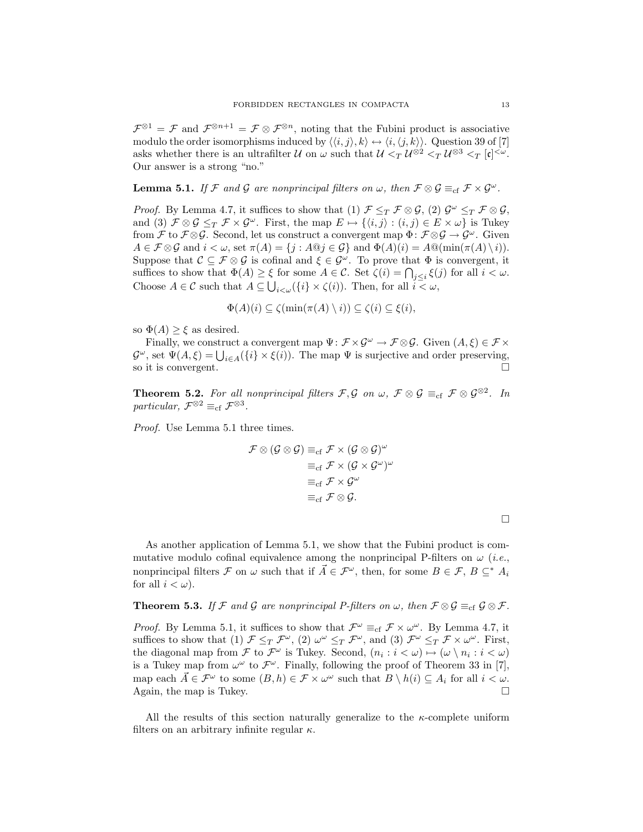$\mathcal{F}^{\otimes 1} = \mathcal{F}$  and  $\mathcal{F}^{\otimes n+1} = \mathcal{F} \otimes \mathcal{F}^{\otimes n}$ , noting that the Fubini product is associative modulo the order isomorphisms induced by  $\langle\langle i,j\rangle, k\rangle \leftrightarrow \langle i,\langle j,k\rangle\rangle$ . Question 39 of [7] asks whether there is an ultrafilter U on  $\omega$  such that  $\mathcal{U} \leq_T \mathcal{U}^{\otimes 2} \leq_T \mathcal{U}^{\otimes 3} \leq_T [\mathfrak{c}]^{\leq \omega}$ . Our answer is a strong "no."

**Lemma 5.1.** If F and G are nonprincipal filters on  $\omega$ , then  $\mathcal{F} \otimes \mathcal{G} \equiv_{cf} \mathcal{F} \times \mathcal{G}^{\omega}$ .

*Proof.* By Lemma 4.7, it suffices to show that (1)  $\mathcal{F} \leq_T \mathcal{F} \otimes \mathcal{G}$ , (2)  $\mathcal{G}^{\omega} \leq_T \mathcal{F} \otimes \mathcal{G}$ , and (3)  $\mathcal{F} \otimes \mathcal{G} \leq_T \mathcal{F} \times \mathcal{G}^\omega$ . First, the map  $E \mapsto \{(i, j) : (i, j) \in E \times \omega\}$  is Tukey from F to  $\mathcal{F} \otimes \mathcal{G}$ . Second, let us construct a convergent map  $\Phi: \mathcal{F} \otimes \mathcal{G} \to \mathcal{G}^\omega$ . Given  $A \in \mathcal{F} \otimes \mathcal{G}$  and  $i < \omega$ , set  $\pi(A) = \{j : A \otimes j \in \mathcal{G}\}\$ and  $\Phi(A)(i) = A \otimes (\min(\pi(A) \setminus i)).$ Suppose that  $\mathcal{C} \subseteq \mathcal{F} \otimes \mathcal{G}$  is cofinal and  $\xi \in \mathcal{G}^{\omega}$ . To prove that  $\Phi$  is convergent, it suffices to show that  $\Phi(A) \geq \xi$  for some  $A \in \mathcal{C}$ . Set  $\zeta(i) = \bigcap_{j \leq i} \xi(j)$  for all  $i < \omega$ . Choose  $A \in \mathcal{C}$  such that  $A \subseteq \bigcup_{i < \omega} (\{i\} \times \zeta(i))$ . Then, for all  $i < \omega$ ,

$$
\Phi(A)(i) \subseteq \zeta(\min(\pi(A) \setminus i)) \subseteq \zeta(i) \subseteq \xi(i),
$$

so  $\Phi(A) \geq \xi$  as desired.

Finally, we construct a convergent map  $\Psi: \mathcal{F} \times \mathcal{G}^{\omega} \to \mathcal{F} \otimes \mathcal{G}$ . Given  $(A, \xi) \in \mathcal{F} \times$  $\mathcal{G}^{\omega}$ , set  $\Psi(A,\xi) = \bigcup_{i \in A} (\{i\} \times \xi(i))$ . The map  $\Psi$  is surjective and order preserving, so it is convergent.

**Theorem 5.2.** For all nonprincipal filters  $\mathcal{F}, \mathcal{G}$  on  $\omega, \ \mathcal{F} \otimes \mathcal{G} \equiv_{cf} \mathcal{F} \otimes \mathcal{G}^{\otimes 2}$ . In particular,  $\mathcal{F}^{\otimes 2} \equiv_{\text{cf}} \mathcal{F}^{\otimes 3}$ .

Proof. Use Lemma 5.1 three times.

$$
\mathcal{F} \otimes (\mathcal{G} \otimes \mathcal{G}) \equiv_{\text{cf}} \mathcal{F} \times (\mathcal{G} \otimes \mathcal{G})^{\omega} \equiv_{\text{cf}} \mathcal{F} \times (\mathcal{G} \times \mathcal{G}^{\omega})^{\omega} \equiv_{\text{cf}} \mathcal{F} \times \mathcal{G}^{\omega} \equiv_{\text{cf}} \mathcal{F} \otimes \mathcal{G}.
$$

As another application of Lemma 5.1, we show that the Fubini product is commutative modulo cofinal equivalence among the nonprincipal P-filters on  $\omega$  (*i.e.*, nonprincipal filters F on  $\omega$  such that if  $\vec{A} \in \mathcal{F}^{\omega}$ , then, for some  $B \in \mathcal{F}$ ,  $B \subseteq^* A_i$ for all  $i < \omega$ ).

**Theorem 5.3.** If F and G are nonprincipal P-filters on  $\omega$ , then  $\mathcal{F} \otimes \mathcal{G} \equiv_{cf} \mathcal{G} \otimes \mathcal{F}$ .

*Proof.* By Lemma 5.1, it suffices to show that  $\mathcal{F}^{\omega} \equiv_{\text{cf}} \mathcal{F} \times \omega^{\omega}$ . By Lemma 4.7, it suffices to show that (1)  $\mathcal{F} \leq_T \mathcal{F}^{\omega}$ , (2)  $\omega^{\omega} \leq_T \mathcal{F}^{\omega}$ , and (3)  $\mathcal{F}^{\omega} \leq_T \mathcal{F} \times \omega^{\omega}$ . First, the diagonal map from  $\mathcal F$  to  $\mathcal F^{\omega}$  is Tukey. Second,  $(n_i : i < \omega) \mapsto (\omega \setminus n_i : i < \omega)$ is a Tukey map from  $\omega^{\omega}$  to  $\mathcal{F}^{\omega}$ . Finally, following the proof of Theorem 33 in [7], map each  $\vec{A} \in \mathcal{F}^{\omega}$  to some  $(B, h) \in \mathcal{F} \times \omega^{\omega}$  such that  $B \setminus h(i) \subseteq A_i$  for all  $i < \omega$ . Again, the map is Tukey.  $\Box$ 

All the results of this section naturally generalize to the  $\kappa$ -complete uniform filters on an arbitrary infinite regular  $\kappa$ .